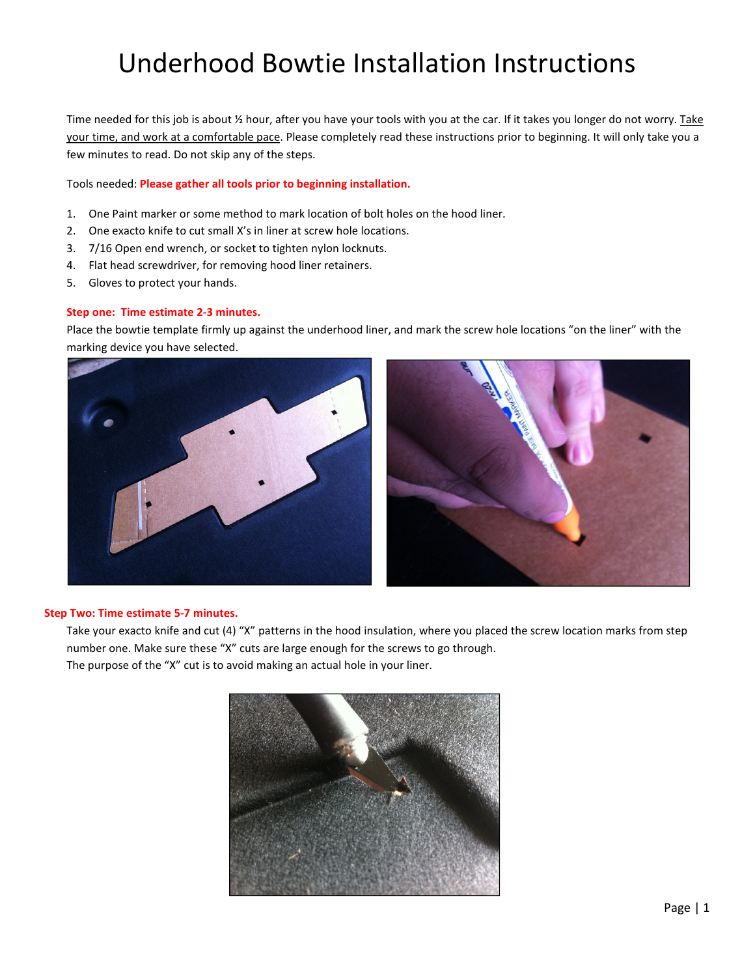### Underhood Bowtie Installation Instructions

Time needed for this job is about 1/2 hour, after you have your tools with you at the car. If it takes you longer do not worry. Take your time, and work at a comfortable pace. Please completely read these instructions prior to beginning. It will only take you a few minutes to read. Do not skip any of the steps.

Tools needed: Please gather all tools prior to beginning installation.

- 1. One Paint marker or some method to mark location of bolt holes on the hood liner.
- 2. One exacto knife to cut small X's in liner at screw hole locations.
- 3. 7/16 Open end wrench, or socket to tighten nylon locknuts.
- 4. Flat head screwdriver, for removing hood liner retainers.
- 5. Gloves to protect your hands.

#### Step one: Time estimate 2-3 minutes.

Place the bowtie template firmly up against the underhood liner, and mark the screw hole locations "on the liner" with the marking device you have selected.





#### Step Two: Time estimate 5-7 minutes.

Take your exacto knife and cut (4) "X" patterns in the hood insulation, where you placed the screw location marks from step number one. Make sure these "X" cuts are large enough for the screws to go through. The purpose of the "X" cut is to avoid making an actual hole in your liner.

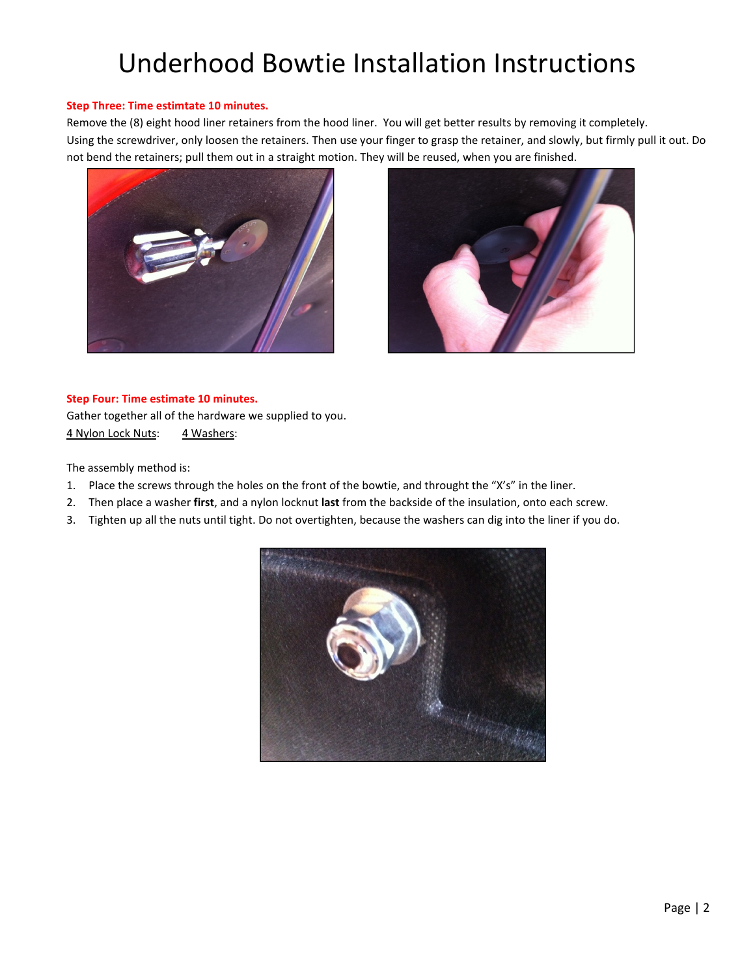# Underhood Bowtie Installation Instructions

#### Step Three: Time estimtate 10 minutes.

Remove the (8) eight hood liner retainers from the hood liner. You will get better results by removing it completely. Using the screwdriver, only loosen the retainers. Then use your finger to grasp the retainer, and slowly, but firmly pull it out. Do not bend the retainers; pull them out in a straight motion. They will be reused, when you are finished.





#### Step Four: Time estimate 10 minutes.

Gather together all of the hardware we supplied to you. 4 Nylon Lock Nuts: 4 Washers:

The assembly method is:

- 1. Place the screws through the holes on the front of the bowtie, and throught the "X's" in the liner.
- 2. Then place a washer first, and a nylon locknut last from the backside of the insulation, onto each screw.
- 3. Tighten up all the nuts until tight. Do not overtighten, because the washers can dig into the liner if you do.